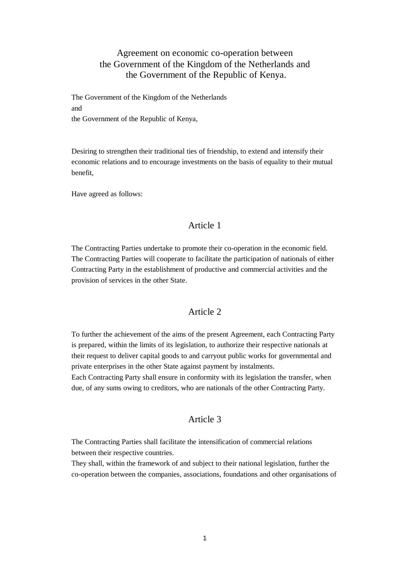# Agreement on economic co-operation between the Government of the Kingdom of the Netherlands and the Government of the Republic of Kenya.

The Government of the Kingdom of the Netherlands and the Government of the Republic of Kenya,

Desiring to strengthen their traditional ties of friendship, to extend and intensify their economic relations and to encourage investments on the basis of equality to their mutual benefit,

Have agreed as follows:

### Article 1

The Contracting Parties undertake to promote their co-operation in the economic field. The Contracting Parties will cooperate to facilitate the participation of nationals of either Contracting Party in the establishment of productive and commercial activities and the provision of services in the other State.

#### Article 2

To further the achievement of the aims of the present Agreement, each Contracting Party is prepared, within the limits of its legislation, to authorize their respective nationals at their request to deliver capital goods to and carryout public works for governmental and private enterprises in the other State against payment by instalments.

Each Contracting Party shall ensure in conformity with its legislation the transfer, when due, of any sums owing to creditors, who are nationals of the other Contracting Party.

### Article 3

The Contracting Parties shall facilitate the intensification of commercial relations between their respective countries.

They shall, within the framework of and subject to their national legislation, further the co-operation between the companies, associations, foundations and other organisations of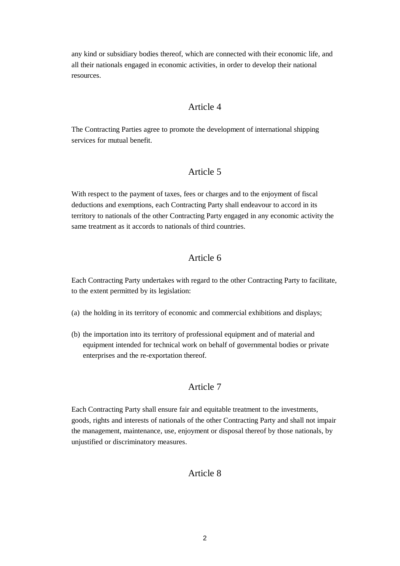any kind or subsidiary bodies thereof, which are connected with their economic life, and all their nationals engaged in economic activities, in order to develop their national resources.

### Article 4

The Contracting Parties agree to promote the development of international shipping services for mutual benefit.

# Article 5

With respect to the payment of taxes, fees or charges and to the enjoyment of fiscal deductions and exemptions, each Contracting Party shall endeavour to accord in its territory to nationals of the other Contracting Party engaged in any economic activity the same treatment as it accords to nationals of third countries.

# Article 6

Each Contracting Party undertakes with regard to the other Contracting Party to facilitate, to the extent permitted by its legislation:

- (a) the holding in its territory of economic and commercial exhibitions and displays;
- (b) the importation into its territory of professional equipment and of material and equipment intended for technical work on behalf of governmental bodies or private enterprises and the re-exportation thereof.

# Article 7

Each Contracting Party shall ensure fair and equitable treatment to the investments, goods, rights and interests of nationals of the other Contracting Party and shall not impair the management, maintenance, use, enjoyment or disposal thereof by those nationals, by unjustified or discriminatory measures.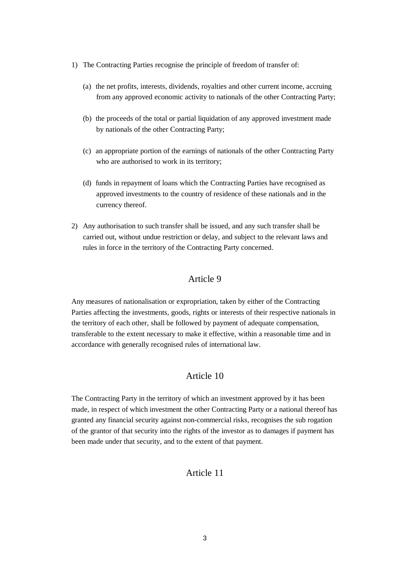- 1) The Contracting Parties recognise the principle of freedom of transfer of:
	- (a) the net profits, interests, dividends, royalties and other current income, accruing from any approved economic activity to nationals of the other Contracting Party;
	- (b) the proceeds of the total or partial liquidation of any approved investment made by nationals of the other Contracting Party;
	- (c) an appropriate portion of the earnings of nationals of the other Contracting Party who are authorised to work in its territory;
	- (d) funds in repayment of loans which the Contracting Parties have recognised as approved investments to the country of residence of these nationals and in the currency thereof.
- 2) Any authorisation to such transfer shall be issued, and any such transfer shall be carried out, without undue restriction or delay, and subject to the relevant laws and rules in force in the territory of the Contracting Party concerned.

# Article 9

Any measures of nationalisation or expropriation, taken by either of the Contracting Parties affecting the investments, goods, rights or interests of their respective nationals in the territory of each other, shall be followed by payment of adequate compensation, transferable to the extent necessary to make it effective, within a reasonable time and in accordance with generally recognised rules of international law.

#### Article 10

The Contracting Party in the territory of which an investment approved by it has been made, in respect of which investment the other Contracting Party or a national thereof has granted any financial security against non-commercial risks, recognises the sub rogation of the grantor of that security into the rights of the investor as to damages if payment has been made under that security, and to the extent of that payment.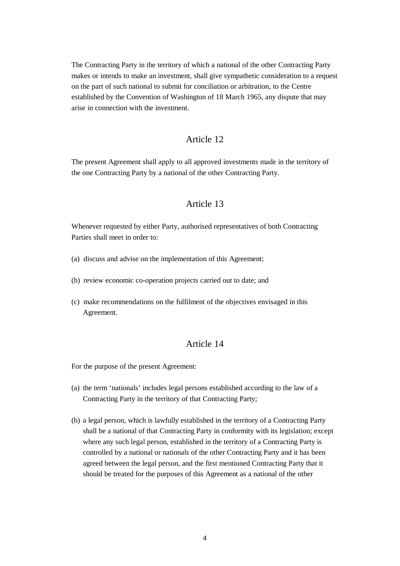The Contracting Party in the territory of which a national of the other Contracting Party makes or intends to make an investment, shall give sympathetic consideration to a request on the part of such national to submit for conciliation or arbitration, to the Centre established by the Convention of Washington of 18 March 1965, any dispute that may arise in connection with the investment.

## Article 12

The present Agreement shall apply to all approved investments made in the territory of the one Contracting Party by a national of the other Contracting Party.

### Article 13

Whenever requested by either Party, authorised representatives of both Contracting Parties shall meet in order to:

- (a) discuss and advise on the implementation of this Agreement;
- (b) review economic co-operation projects carried out to date; and
- (c) make recommendations on the fulfilment of the objectives envisaged in this Agreement.

#### Article 14

For the purpose of the present Agreement:

- (a) the term 'nationals' includes legal persons established according to the law of a Contracting Party in the territory of that Contracting Party;
- (b) a legal person, which is lawfully established in the territory of a Contracting Party shall be a national of that Contracting Party in conformity with its legislation; except where any such legal person, established in the territory of a Contracting Party is controlled by a national or nationals of the other Contracting Party and it has been agreed between the legal person, and the first mentioned Contracting Party that it should be treated for the purposes of this Agreement as a national of the other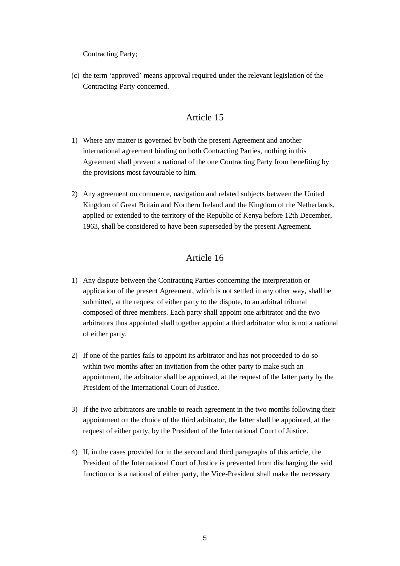Contracting Party;

(c) the term 'approved' means approval required under the relevant legislation of the Contracting Party concerned.

## Article 15

- 1) Where any matter is governed by both the present Agreement and another international agreement binding on both Contracting Parties, nothing in this Agreement shall prevent a national of the one Contracting Party from benefiting by the provisions most favourable to him.
- 2) Any agreement on commerce, navigation and related subjects between the United Kingdom of Great Britain and Northern Ireland and the Kingdom of the Netherlands, applied or extended to the territory of the Republic of Kenya before 12th December, 1963, shall be considered to have been superseded by the present Agreement.

- 1) Any dispute between the Contracting Parties concerning the interpretation or application of the present Agreement, which is not settled in any other way, shall be submitted, at the request of either party to the dispute, to an arbitral tribunal composed of three members. Each party shall appoint one arbitrator and the two arbitrators thus appointed shall together appoint a third arbitrator who is not a national of either party.
- 2) If one of the parties fails to appoint its arbitrator and has not proceeded to do so within two months after an invitation from the other party to make such an appointment, the arbitrator shall be appointed, at the request of the latter party by the President of the International Court of Justice.
- 3) If the two arbitrators are unable to reach agreement in the two months following their appointment on the choice of the third arbitrator, the latter shall be appointed, at the request of either party, by the President of the International Court of Justice.
- 4) If, in the cases provided for in the second and third paragraphs of this article, the President of the International Court of Justice is prevented from discharging the said function or is a national of either party, the Vice-President shall make the necessary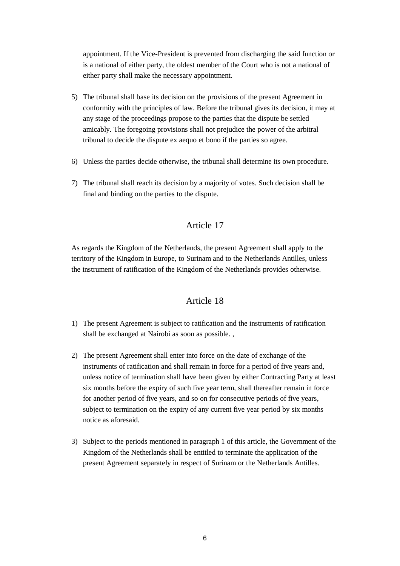appointment. If the Vice-President is prevented from discharging the said function or is a national of either party, the oldest member of the Court who is not a national of either party shall make the necessary appointment.

- 5) The tribunal shall base its decision on the provisions of the present Agreement in conformity with the principles of law. Before the tribunal gives its decision, it may at any stage of the proceedings propose to the parties that the dispute be settled amicably. The foregoing provisions shall not prejudice the power of the arbitral tribunal to decide the dispute ex aequo et bono if the parties so agree.
- 6) Unless the parties decide otherwise, the tribunal shall determine its own procedure.
- 7) The tribunal shall reach its decision by a majority of votes. Such decision shall be final and binding on the parties to the dispute.

# Article 17

As regards the Kingdom of the Netherlands, the present Agreement shall apply to the territory of the Kingdom in Europe, to Surinam and to the Netherlands Antilles, unless the instrument of ratification of the Kingdom of the Netherlands provides otherwise.

- 1) The present Agreement is subject to ratification and the instruments of ratification shall be exchanged at Nairobi as soon as possible. ,
- 2) The present Agreement shall enter into force on the date of exchange of the instruments of ratification and shall remain in force for a period of five years and, unless notice of termination shall have been given by either Contracting Party at least six months before the expiry of such five year term, shall thereafter remain in force for another period of five years, and so on for consecutive periods of five years, subject to termination on the expiry of any current five year period by six months notice as aforesaid.
- 3) Subject to the periods mentioned in paragraph 1 of this article, the Government of the Kingdom of the Netherlands shall be entitled to terminate the application of the present Agreement separately in respect of Surinam or the Netherlands Antilles.